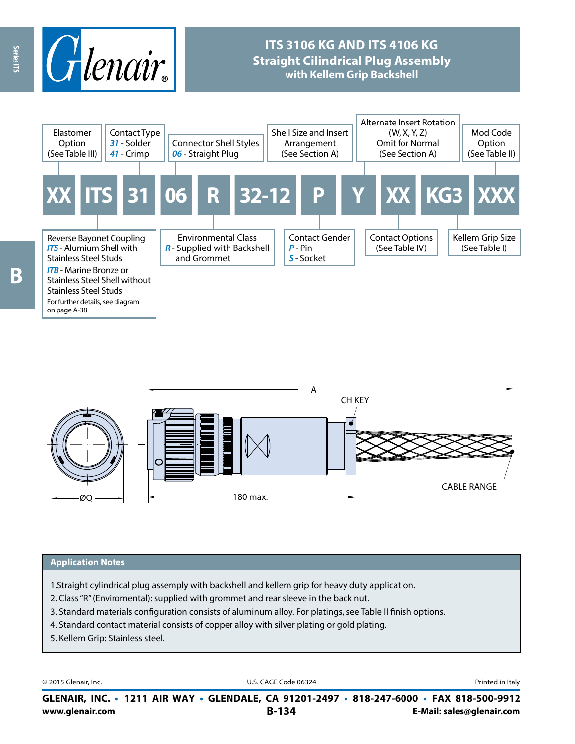

## **ITS 3106 KG AND ITS 4106 KG Straight Cilindrical Plug Assembly with Kellem Grip Backshell**





#### **Application Notes**

- 1.Straight cylindrical plug assemply with backshell and kellem grip for heavy duty application.
- 2. Class "R" (Enviromental): supplied with grommet and rear sleeve in the back nut.
- 3. Standard materials configuration consists of aluminum alloy. For platings, see Table II finish options.
- 4. Standard contact material consists of copper alloy with silver plating or gold plating.
- 5. Kellem Grip: Stainless steel.

© 2015 Glenair, Inc. **Discription Construction Construction Construction Construction Construction Construction Construction Construction Construction Construction Construction Construction Construction Construction Constr** 

**www.glenair.com B-134 E-Mail: sales@glenair.com GLENAIR, INC. • 1211 AIR WAY • GLENDALE, CA 91201-2497 • 818-247-6000 • FAX 818-500-9912**